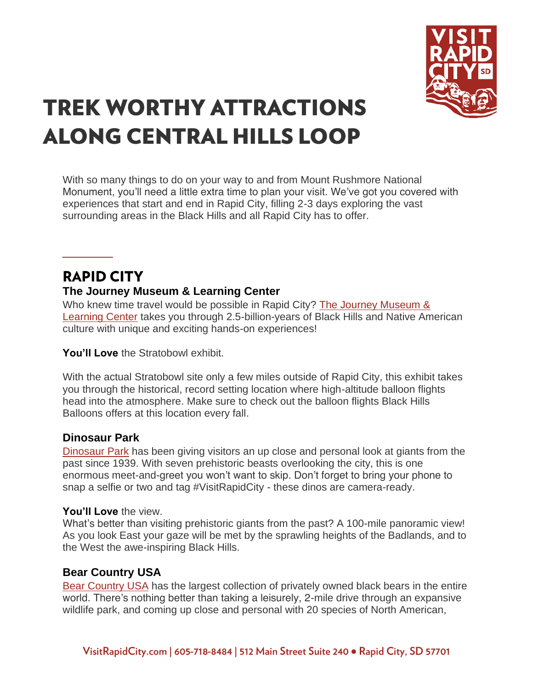

# **TREK WORTHY ATTRACTIONS ALONG CENTRAL HILLS LOOP**

With so many things to do on your way to and from Mount Rushmore National Monument, you'll need a little extra time to plan your visit. We've got you covered with experiences that start and end in Rapid City, filling 2-3 days exploring the vast surrounding areas in the Black Hills and all Rapid City has to offer.

### **RAPID CITY The Journey Museum & Learning Center**

Who knew time travel would be possible in Rapid City? The Journey Museum & [Learning Center](https://www.visitrapidcity.com/things-to-do/arts-culture/journey-museum-learning-center) takes you through 2.5-billion-years of Black Hills and Native American culture with unique and exciting hands-on experiences!

**You'll Love** the Stratobowl exhibit.

With the actual Stratobowl site only a few miles outside of Rapid City, this exhibit takes you through the historical, record setting location where high-altitude balloon flights head into the atmosphere. Make sure to check out the balloon flights Black Hills Balloons offers at this location every fall.

#### **Dinosaur Park**

**\_\_\_\_**

[Dinosaur Park](https://www.visitrapidcity.com/things-to-do/attractions/dinosaur-park-gift-shop-visitors-center) has been giving visitors an up close and personal look at giants from the past since 1939. With seven prehistoric beasts overlooking the city, this is one enormous meet-and-greet you won't want to skip. Don't forget to bring your phone to snap a selfie or two and tag #VisitRapidCity - these dinos are camera-ready.

#### **You'll Love** the view.

What's better than visiting prehistoric giants from the past? A 100-mile panoramic view! As you look East your gaze will be met by the sprawling heights of the Badlands, and to the West the awe-inspiring Black Hills.

#### **Bear Country USA**

[Bear Country USA](https://www.visitrapidcity.com/things-to-do/attractions/bear-country-usa) has the largest collection of privately owned black bears in the entire world. There's nothing better than taking a leisurely, 2-mile drive through an expansive wildlife park, and coming up close and personal with 20 species of North American,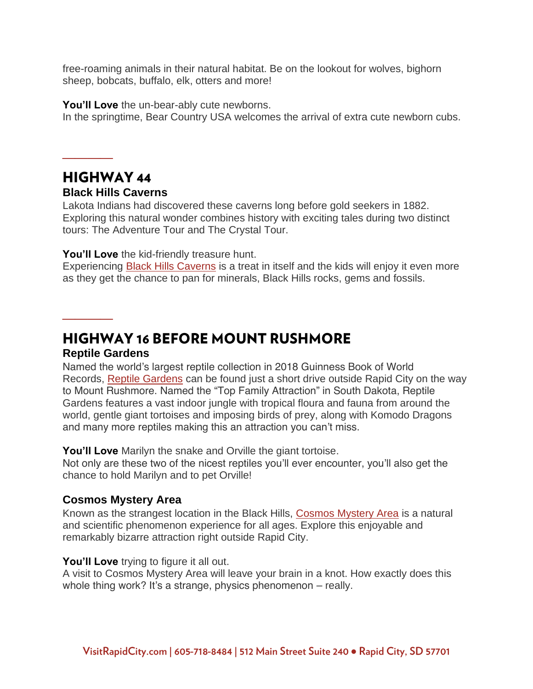free-roaming animals in their natural habitat. Be on the lookout for wolves, bighorn sheep, bobcats, buffalo, elk, otters and more!

**You'll Love** the un-bear-ably cute newborns. In the springtime, Bear Country USA welcomes the arrival of extra cute newborn cubs.

### **HIGHWAY 44**

**\_\_\_\_**

#### **Black Hills Caverns**

Lakota Indians had discovered these caverns long before gold seekers in 1882. Exploring this natural wonder combines history with exciting tales during two distinct tours: The Adventure Tour and The Crystal Tour.

#### **You'll Love** the kid-friendly treasure hunt.

Experiencing [Black Hills Caverns](https://www.visitrapidcity.com/things-to-do/attractions/black-hills-caverns) is a treat in itself and the kids will enjoy it even more as they get the chance to pan for minerals, Black Hills rocks, gems and fossils.

**HIGHWAY 16 BEFORE MOUNT RUSHMORE** 

#### **Reptile Gardens**

**\_\_\_\_**

Named the world's largest reptile collection in 2018 Guinness Book of World Records, [Reptile Gardens](https://www.visitrapidcity.com/things-to-do/attractions/reptile-gardens) can be found just a short drive outside Rapid City on the way to Mount Rushmore. Named the "Top Family Attraction" in South Dakota, Reptile Gardens features a vast indoor jungle with tropical floura and fauna from around the world, gentle giant tortoises and imposing birds of prey, along with Komodo Dragons and many more reptiles making this an attraction you can't miss.

**You'll Love** Marilyn the snake and Orville the giant tortoise.

Not only are these two of the nicest reptiles you'll ever encounter, you'll also get the chance to hold Marilyn and to pet Orville!

#### **Cosmos Mystery Area**

Known as the strangest location in the Black Hills, [Cosmos Mystery Area](https://www.visitrapidcity.com/things-to-do/attractions/cosmos-mystery-area) is a natural and scientific phenomenon experience for all ages. Explore this enjoyable and remarkably bizarre attraction right outside Rapid City.

#### **You'll Love** trying to figure it all out.

A visit to Cosmos Mystery Area will leave your brain in a knot. How exactly does this whole thing work? It's a strange, physics phenomenon – really.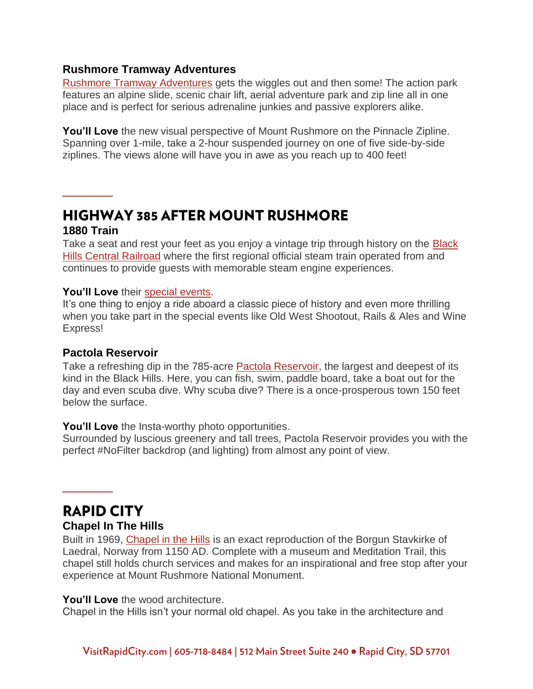#### **Rushmore Tramway Adventures**

[Rushmore Tramway Adventures](https://www.visitrapidcity.com/things-to-do/attractions/rushmore-tramway-adventures) gets the wiggles out and then some! The action park features an alpine slide, scenic chair lift, aerial adventure park and zip line all in one place and is perfect for serious adrenaline junkies and passive explorers alike.

**You'll Love** the new visual perspective of Mount Rushmore on the Pinnacle Zipline. Spanning over 1-mile, take a 2-hour suspended journey on one of five side-by-side ziplines. The views alone will have you in awe as you reach up to 400 feet!

#### **HIGHWAY 385 AFTER MOUNT RUSHMORE 1880 Train**

**\_\_\_\_**

Take a seat and rest your feet as you enjoy a vintage trip through history on the [Black](https://www.visitrapidcity.com/things-to-do/attractions/1880-train-black-hills-central-railroad)  [Hills Central Railroad](https://www.visitrapidcity.com/things-to-do/attractions/1880-train-black-hills-central-railroad) where the first regional official steam train operated from and continues to provide guests with memorable steam engine experiences.

#### **You'll Love** their [special events.](https://www.visitrapidcity.com/events/all?idss_vatt_event_start_date_value%5Bmin%5D%5Bdate%5D=&idss_vatt_event_start_date_value%5Bmax%5D%5Bdate%5D=&idss_vatt_event_end_date_value_1%5Bmin%5D%5Bdate%5D=&idss_vatt_event_end_date_value_1%5Bmax%5D%5Bdate%5D=&between_date_filter_start%5Bvalue%5D%5Bdate%5D=&between_date_filter_end%5Bvalue%5D%5Bdate%5D=&keys=1880+train)

It's one thing to enjoy a ride aboard a classic piece of history and even more thrilling when you take part in the special events like Old West Shootout, Rails & Ales and Wine Express!

#### **Pactola Reservoir**

Take a refreshing dip in the 785-acre [Pactola Reservoir,](https://www.visitrapidcity.com/things-to-do/pactola-lake-resevoir-complex) the largest and deepest of its kind in the Black Hills. Here, you can fish, swim, paddle board, take a boat out for the day and even scuba dive. Why scuba dive? There is a once-prosperous town 150 feet below the surface.

#### **You'll Love** the Insta-worthy photo opportunities.

Surrounded by luscious greenery and tall trees, Pactola Reservoir provides you with the perfect #NoFilter backdrop (and lighting) from almost any point of view.

## **RAPID CITY**

**\_\_\_\_**

#### **Chapel In The Hills**

Built in 1969, [Chapel in the Hills](https://www.visitrapidcity.com/things-to-do/attractions/chapel-hills) is an exact reproduction of the Borgun Stavkirke of Laedral, Norway from 1150 AD. Complete with a museum and Meditation Trail, this chapel still holds church services and makes for an inspirational and free stop after your experience at Mount Rushmore National Monument.

#### **You'll Love** the wood architecture.

Chapel in the Hills isn't your normal old chapel. As you take in the architecture and